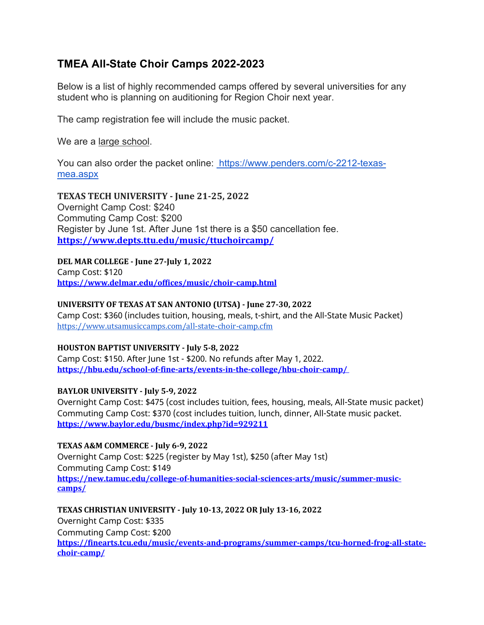# **TMEA All-State Choir Camps 2022-2023**

Below is a list of highly recommended camps offered by several universities for any student who is planning on auditioning for Region Choir next year.

The camp registration fee will include the music packet.

We are a large school.

You can also order the packet online: https://www.penders.com/c-2212-texasmea.aspx

**TEXAS TECH UNIVERSITY - June 21-25, 2022** Overnight Camp Cost: \$240 Commuting Camp Cost: \$200 Register by June 1st. After June 1st there is a \$50 cancellation fee. **https://www.depts.ttu.edu/music/ttuchoircamp/**

**DEL MAR COLLEGE - June 27-July 1, 2022** Camp Cost: \$120 **https://www.delmar.edu/offices/music/choir-camp.html**

## **UNIVERSITY OF TEXAS AT SAN ANTONIO (UTSA) - June 27-30, 2022**

Camp Cost: \$360 (includes tuition, housing, meals, t-shirt, and the All-State Music Packet) https://www.utsamusiccamps.com/all-state-choir-camp.cfm

### **HOUSTON BAPTIST UNIVERSITY - July 5-8, 2022**

Camp Cost: \$150. After June 1st - \$200. No refunds after May 1, 2022. **https://hbu.edu/school-of-fine-arts/events-in-the-college/hbu-choir-camp/**

## **BAYLOR UNIVERSITY - July 5-9, 2022**

Overnight Camp Cost: \$475 (cost includes tuition, fees, housing, meals, All-State music packet) Commuting Camp Cost: \$370 (cost includes tuition, lunch, dinner, All-State music packet. **https://www.baylor.edu/busmc/index.php?id=929211**

## **TEXAS A&M COMMERCE - July 6-9, 2022**

Overnight Camp Cost: \$225 (register by May 1st), \$250 (after May 1st) Commuting Camp Cost: \$149 **https://new.tamuc.edu/college-of-humanities-social-sciences-arts/music/summer-musiccamps/**

**TEXAS CHRISTIAN UNIVERSITY - July 10-13, 2022 OR July 13-16, 2022** Overnight Camp Cost: \$335 Commuting Camp Cost: \$200 **https://finearts.tcu.edu/music/events-and-programs/summer-camps/tcu-horned-frog-all-statechoir-camp/**